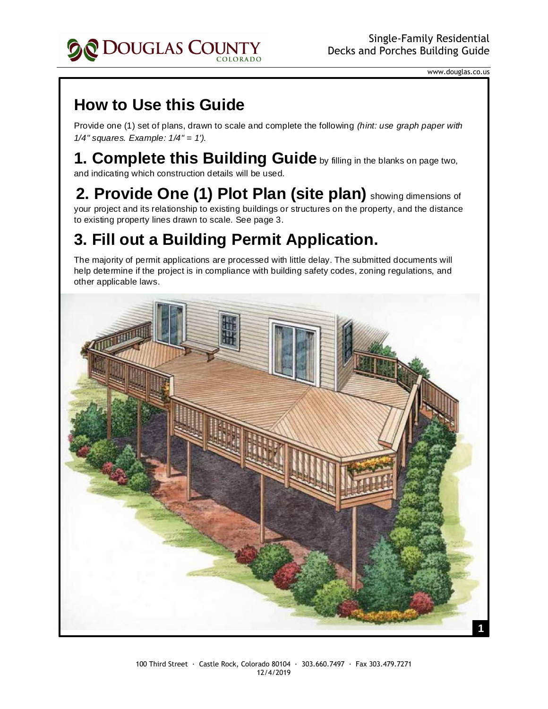

www.douglas.co.us

## **How to Use this Guide**

Provide one (1) set of plans, drawn to scale and complete the following *(hint: use graph paper with 1/4" squares. Example: 1/4" = 1').*

## **1. Complete this Building Guide** by filling in the blanks on page two, and indicating which construction details will be used.

2. Provide One (1) Plot Plan (site plan) showing dimensions of your project and its relationship to existing buildings or structures on the property, and the distance to existing property lines drawn to scale. See page 3.

## **3. Fill out a Building Permit Application.**

The majority of permit applications are processed with little delay. The submitted documents will help determine if the project is in compliance with building safety codes, zoning regulations, and other applicable laws.

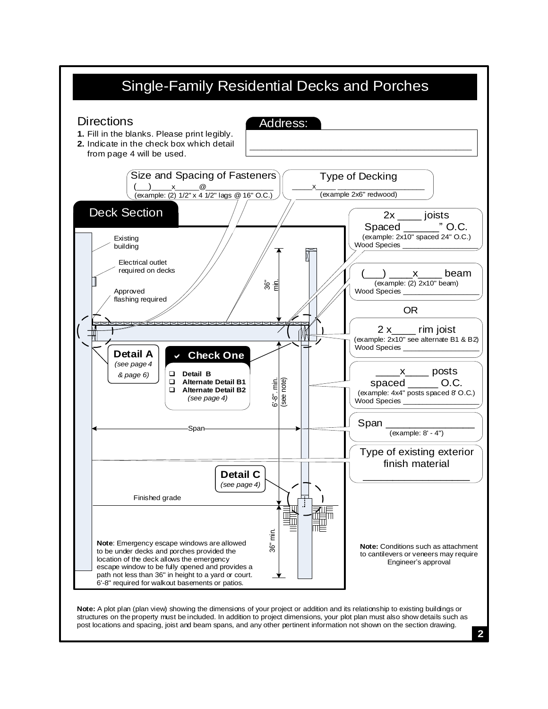

**2**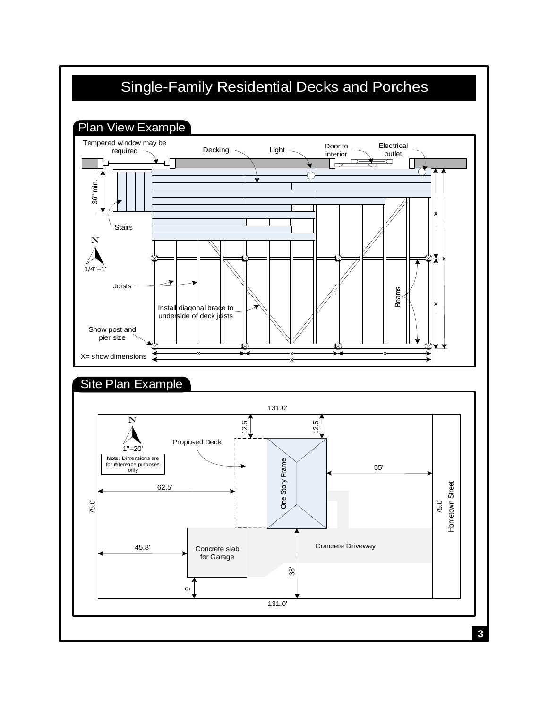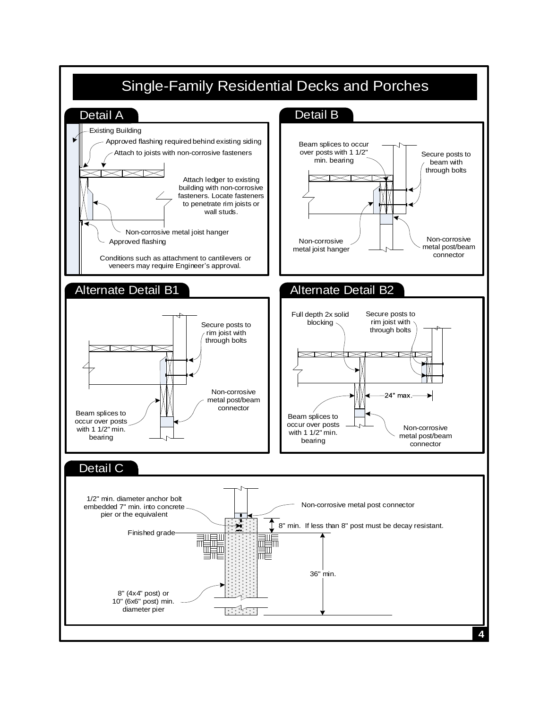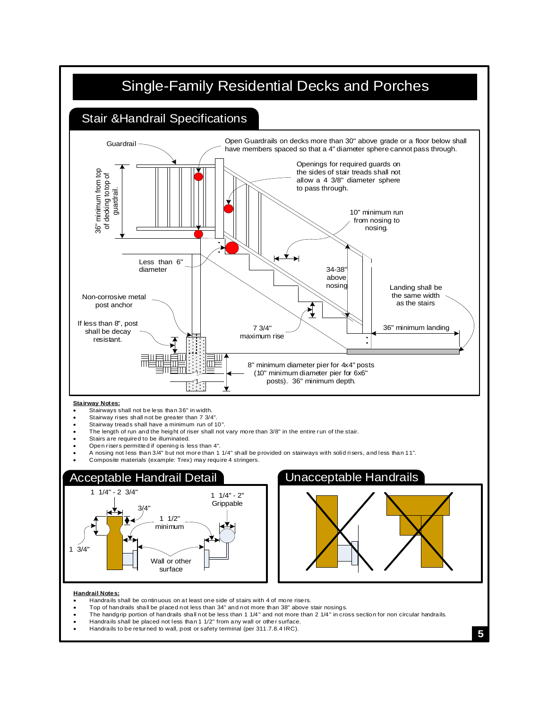